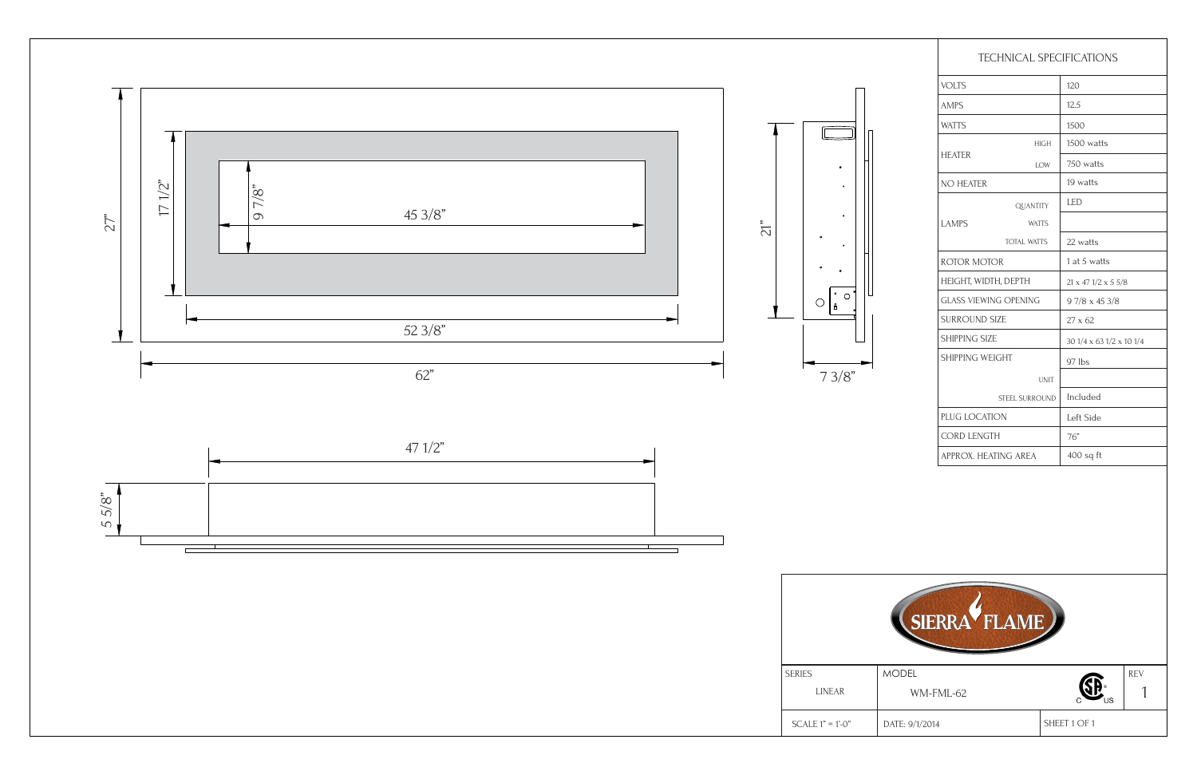SHEET 1 OF 1 1 DATE: 9/1/2014

| <b>TECHNICAL SPECIFICATIONS</b> |                    |                                   |  |
|---------------------------------|--------------------|-----------------------------------|--|
| <b>VOLTS</b>                    |                    | 120                               |  |
| <b>AMPS</b>                     |                    | 12.5                              |  |
| <b>WATTS</b>                    |                    | 1500                              |  |
| <b>HEATER</b>                   | <b>HIGH</b>        | 1500 watts                        |  |
|                                 | LOW                | 750 watts                         |  |
| NO HEATER                       |                    | 19 watts                          |  |
| <b>LAMPS</b>                    | <b>QUANTITY</b>    | <b>LED</b>                        |  |
|                                 | <b>WATTS</b>       |                                   |  |
|                                 | <b>TOTAL WATTS</b> | 22 watts                          |  |
| <b>ROTOR MOTOR</b>              |                    | 1 at 5 watts                      |  |
| HEIGHT, WIDTH, DEPTH            |                    | $21 \times 47$ $1/2 \times 5$ 5/8 |  |
| <b>GLASS VIEWING OPENING</b>    |                    | $97/8 \times 453/8$               |  |
| <b>SURROUND SIZE</b>            |                    | $27 \times 62$                    |  |
| <b>SHIPPING SIZE</b>            |                    | 30 1/4 x 63 1/2 x 10 1/4          |  |
| SHIPPING WEIGHT                 |                    | 97 lbs                            |  |
|                                 | <b>UNIT</b>        |                                   |  |
| STEEL SURROUND                  |                    | Included                          |  |
| PLUG LOCATION                   |                    | Left Side                         |  |
| <b>CORD LENGTH</b>              |                    | 76"                               |  |
| APPROX. HEATING AREA            |                    | $400$ sq ft                       |  |